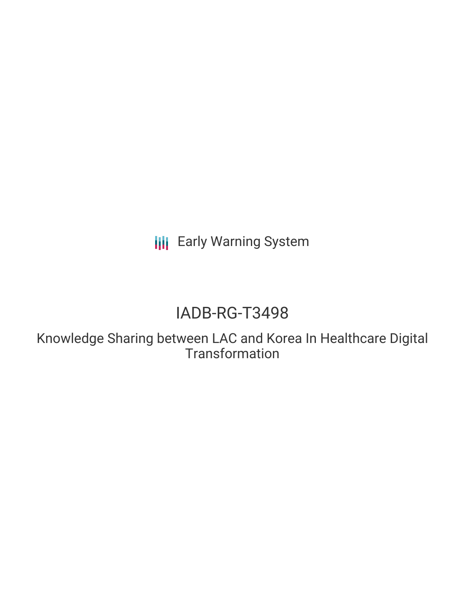**III** Early Warning System

# IADB-RG-T3498

Knowledge Sharing between LAC and Korea In Healthcare Digital **Transformation**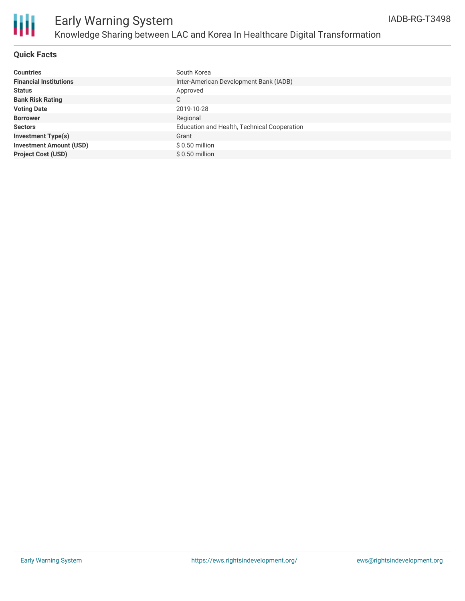

## **Quick Facts**

| <b>Countries</b>               | South Korea                                 |
|--------------------------------|---------------------------------------------|
| <b>Financial Institutions</b>  | Inter-American Development Bank (IADB)      |
| <b>Status</b>                  | Approved                                    |
| <b>Bank Risk Rating</b>        | C                                           |
| <b>Voting Date</b>             | 2019-10-28                                  |
| <b>Borrower</b>                | Regional                                    |
| <b>Sectors</b>                 | Education and Health, Technical Cooperation |
| <b>Investment Type(s)</b>      | Grant                                       |
| <b>Investment Amount (USD)</b> | $$0.50$ million                             |
| <b>Project Cost (USD)</b>      | $$0.50$ million                             |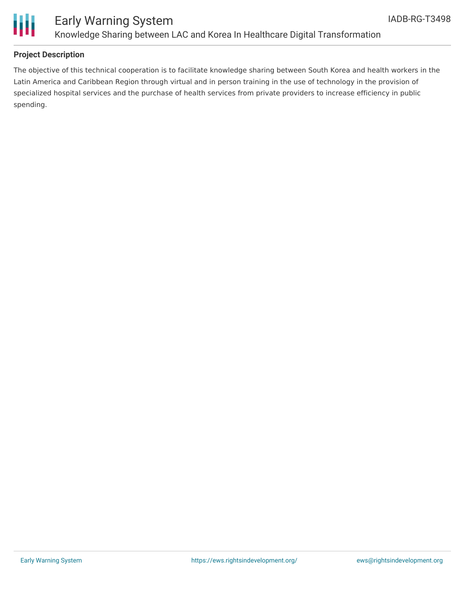

### **Project Description**

The objective of this technical cooperation is to facilitate knowledge sharing between South Korea and health workers in the Latin America and Caribbean Region through virtual and in person training in the use of technology in the provision of specialized hospital services and the purchase of health services from private providers to increase efficiency in public spending.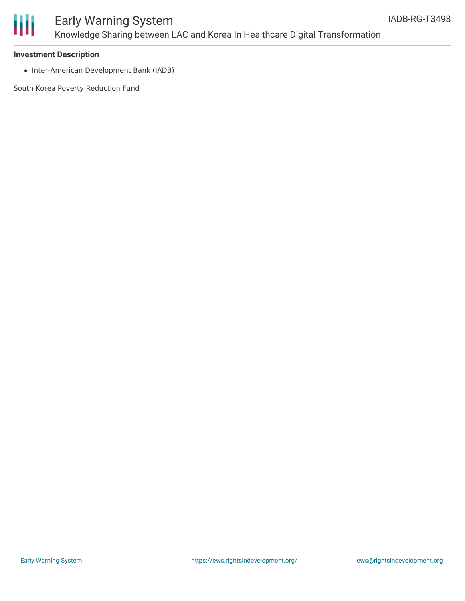

# Early Warning System Knowledge Sharing between LAC and Korea In Healthcare Digital Transformation

#### **Investment Description**

• Inter-American Development Bank (IADB)

South Korea Poverty Reduction Fund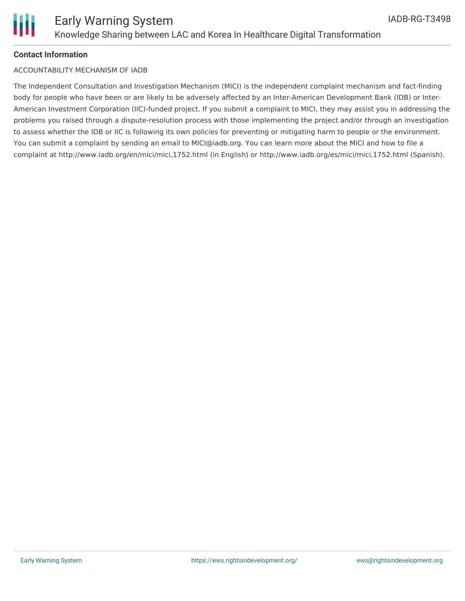

#### **Contact Information**

#### ACCOUNTABILITY MECHANISM OF IADB

The Independent Consultation and Investigation Mechanism (MICI) is the independent complaint mechanism and fact-finding body for people who have been or are likely to be adversely affected by an Inter-American Development Bank (IDB) or Inter-American Investment Corporation (IIC)-funded project. If you submit a complaint to MICI, they may assist you in addressing the problems you raised through a dispute-resolution process with those implementing the project and/or through an investigation to assess whether the IDB or IIC is following its own policies for preventing or mitigating harm to people or the environment. You can submit a complaint by sending an email to MICI@iadb.org. You can learn more about the MICI and how to file a complaint at http://www.iadb.org/en/mici/mici,1752.html (in English) or http://www.iadb.org/es/mici/mici,1752.html (Spanish).